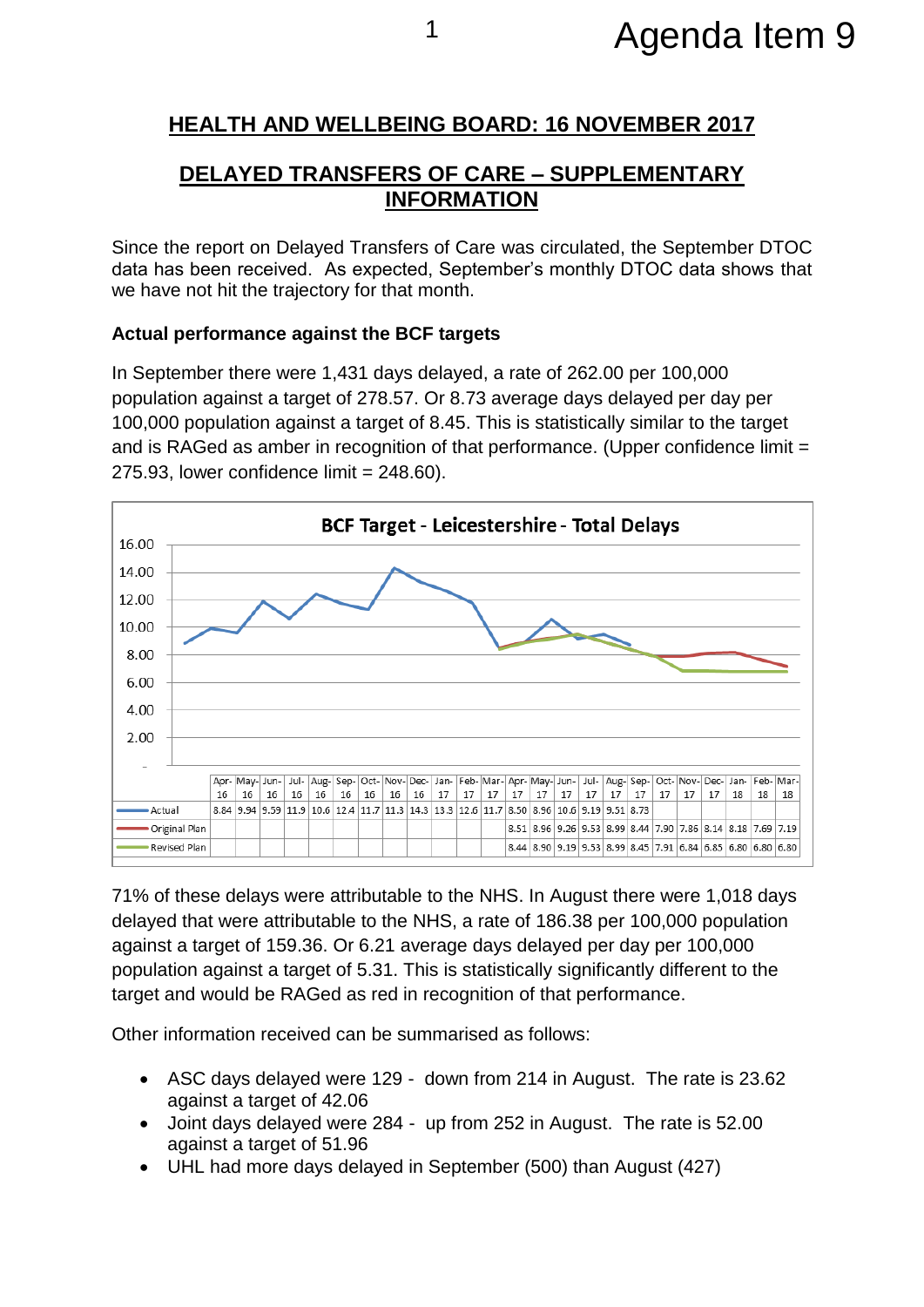## **HEALTH AND WELLBEING BOARD: 16 NOVEMBER 2017**

## **DELAYED TRANSFERS OF CARE – SUPPLEMENTARY INFORMATION**

Since the report on Delayed Transfers of Care was circulated, the September DTOC data has been received. As expected, September's monthly DTOC data shows that we have not hit the trajectory for that month.

## **Actual performance against the BCF targets**

In September there were 1,431 days delayed, a rate of 262.00 per 100,000 population against a target of 278.57. Or 8.73 average days delayed per day per 100,000 population against a target of 8.45. This is statistically similar to the target and is RAGed as amber in recognition of that performance. (Upper confidence limit =  $275.93$ , lower confidence limit =  $248.60$ ).



71% of these delays were attributable to the NHS. In August there were 1,018 days delayed that were attributable to the NHS, a rate of 186.38 per 100,000 population against a target of 159.36. Or 6.21 average days delayed per day per 100,000 population against a target of 5.31. This is statistically significantly different to the target and would be RAGed as red in recognition of that performance.

Other information received can be summarised as follows:

- ASC days delayed were 129 down from 214 in August. The rate is 23.62 against a target of 42.06
- Joint days delayed were 284 up from 252 in August. The rate is 52.00 against a target of 51.96
- UHL had more days delayed in September (500) than August (427)